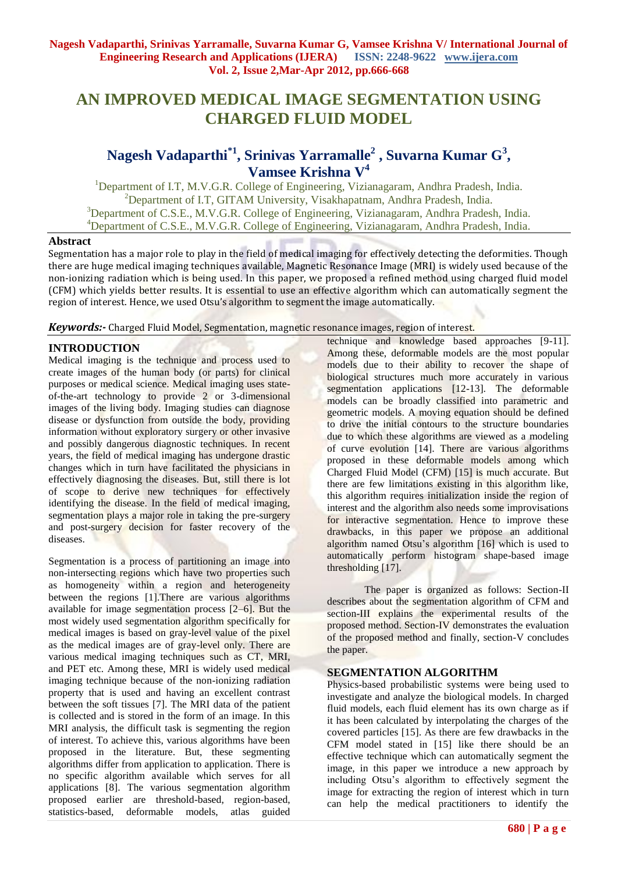# **AN IMPROVED MEDICAL IMAGE SEGMENTATION USING CHARGED FLUID MODEL**

# **Nagesh Vadaparthi\*1 , Srinivas Yarramalle<sup>2</sup> , Suvarna Kumar G<sup>3</sup> , Vamsee Krishna V<sup>4</sup>**

<sup>1</sup>Department of I.T, M.V.G.R. College of Engineering, Vizianagaram, Andhra Pradesh, India. <sup>2</sup>Department of I.T, GITAM University, Visakhapatnam, Andhra Pradesh, India. <sup>3</sup>Department of C.S.E., M.V.G.R. College of Engineering, Vizianagaram, Andhra Pradesh, India. <sup>4</sup>Department of C.S.E., M.V.G.R. College of Engineering, Vizianagaram, Andhra Pradesh, India.

## **Abstract**

Segmentation has a major role to play in the field of medical imaging for effectively detecting the deformities. Though there are huge medical imaging techniques available, Magnetic Resonance Image (MRI) is widely used because of the non-ionizing radiation which is being used. In this paper, we proposed a refined method using charged fluid model (CFM) which yields better results. It is essential to use an effective algorithm which can automatically segment the region of interest. Hence, we used Otsu's algorithm to segment the image automatically.

*Keywords:-* Charged Fluid Model, Segmentation, magnetic resonance images, region of interest.

# **INTRODUCTION**

Medical imaging is the technique and process used to create images of the human body (or parts) for clinical purposes or medical science. Medical imaging uses stateof-the-art technology to provide 2 or 3-dimensional images of the living body. Imaging studies can diagnose disease or dysfunction from outside the body, providing information without exploratory surgery or other invasive and possibly dangerous diagnostic techniques. In recent years, the field of medical imaging has undergone drastic changes which in turn have facilitated the physicians in effectively diagnosing the diseases. But, still there is lot of scope to derive new techniques for effectively identifying the disease. In the field of medical imaging, segmentation plays a major role in taking the pre-surgery and post-surgery decision for faster recovery of the diseases.

Segmentation is a process of partitioning an image into non-intersecting regions which have two properties such as homogeneity within a region and heterogeneity between the regions [1].There are various algorithms available for image segmentation process [2–6]. But the most widely used segmentation algorithm specifically for medical images is based on gray-level value of the pixel as the medical images are of gray-level only. There are various medical imaging techniques such as CT, MRI, and PET etc. Among these, MRI is widely used medical imaging technique because of the non-ionizing radiation property that is used and having an excellent contrast between the soft tissues [7]. The MRI data of the patient is collected and is stored in the form of an image. In this MRI analysis, the difficult task is segmenting the region of interest. To achieve this, various algorithms have been proposed in the literature. But, these segmenting algorithms differ from application to application. There is no specific algorithm available which serves for all applications [8]. The various segmentation algorithm proposed earlier are threshold-based, region-based, statistics-based, deformable models, atlas guided

technique and knowledge based approaches [9-11]. Among these, deformable models are the most popular models due to their ability to recover the shape of biological structures much more accurately in various segmentation applications [12-13]. The deformable models can be broadly classified into parametric and geometric models. A moving equation should be defined to drive the initial contours to the structure boundaries due to which these algorithms are viewed as a modeling of curve evolution [14]. There are various algorithms proposed in these deformable models among which Charged Fluid Model (CFM) [15] is much accurate. But there are few limitations existing in this algorithm like, this algorithm requires initialization inside the region of interest and the algorithm also needs some improvisations for interactive segmentation. Hence to improve these drawbacks, in this paper we propose an additional algorithm named Otsu's algorithm [16] which is used to automatically perform histogram shape-based image thresholding [17].

The paper is organized as follows: Section-II describes about the segmentation algorithm of CFM and section-III explains the experimental results of the proposed method. Section-IV demonstrates the evaluation of the proposed method and finally, section-V concludes the paper.

# **SEGMENTATION ALGORITHM**

Physics-based probabilistic systems were being used to investigate and analyze the biological models. In charged fluid models, each fluid element has its own charge as if it has been calculated by interpolating the charges of the covered particles [15]. As there are few drawbacks in the CFM model stated in [15] like there should be an effective technique which can automatically segment the image, in this paper we introduce a new approach by including Otsu's algorithm to effectively segment the image for extracting the region of interest which in turn can help the medical practitioners to identify the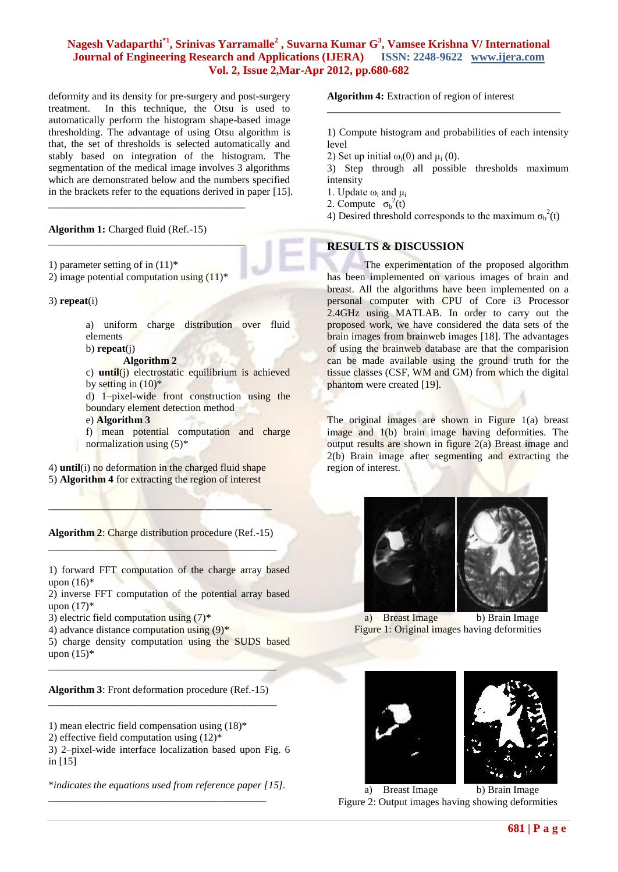# **Nagesh Vadaparthi\*1, Srinivas Yarramalle<sup>2</sup> , Suvarna Kumar G<sup>3</sup> , Vamsee Krishna V/ International Journal of Engineering Research and Applications (IJERA) ISSN: 2248-9622 www.ijera.com Vol. 2, Issue 2,Mar-Apr 2012, pp.680-682**

deformity and its density for pre-surgery and post-surgery treatment. In this technique, the Otsu is used to automatically perform the histogram shape-based image thresholding. The advantage of using Otsu algorithm is that, the set of thresholds is selected automatically and stably based on integration of the histogram. The segmentation of the medical image involves 3 algorithms which are demonstrated below and the numbers specified in the brackets refer to the equations derived in paper [15].

#### **Algorithm 1:** Charged fluid (Ref.-15)

- 1) parameter setting of in  $(11)^*$
- 2) image potential computation using  $(11)^{*}$

\_\_\_\_\_\_\_\_\_\_\_\_\_\_\_\_\_\_\_\_\_\_\_\_\_\_\_\_\_\_\_\_\_\_\_\_\_\_

\_\_\_\_\_\_\_\_\_\_\_\_\_\_\_\_\_\_\_\_\_\_\_\_\_\_\_\_\_\_\_\_\_\_\_\_\_\_

#### 3) **repeat**(i)

a) uniform charge distribution over fluid elements

# b) **repeat**(j)

- **Algorithm 2**
- c) **until**(j) electrostatic equilibrium is achieved by setting in  $(10)*$

d) 1–pixel-wide front construction using the boundary element detection method e) **Algorithm 3**

f) mean potential computation and charge normalization using (5)\*

4) **until**(i) no deformation in the charged fluid shape 5) **Algorithm 4** for extracting the region of interest

**Algorithm 2**: Charge distribution procedure (Ref.-15)  $\frac{1}{2}$  ,  $\frac{1}{2}$  ,  $\frac{1}{2}$  ,  $\frac{1}{2}$  ,  $\frac{1}{2}$  ,  $\frac{1}{2}$  ,  $\frac{1}{2}$  ,  $\frac{1}{2}$  ,  $\frac{1}{2}$  ,  $\frac{1}{2}$ 

 $\mathcal{L}=\{1,2,3,4,4,5,6,6,6,8,9\}$ 

1) forward FFT computation of the charge array based upon  $(16)^*$ 

2) inverse FFT computation of the potential array based upon  $(17)^*$ 

3) electric field computation using  $(7)^*$ 

4) advance distance computation using  $(9)^*$ 

5) charge density computation using the SUDS based upon  $(15)^*$ 

**Algorithm 3**: Front deformation procedure (Ref.-15) \_\_\_\_\_\_\_\_\_\_\_\_\_\_\_\_\_\_\_\_\_\_\_\_\_\_\_\_\_\_\_\_\_\_\_\_\_\_\_\_\_\_\_\_

\_\_\_\_\_\_\_\_\_\_\_\_\_\_\_\_\_\_\_\_\_\_\_\_\_\_\_\_\_\_\_\_\_\_\_\_\_\_\_\_\_\_\_\_

- 1) mean electric field compensation using (18)\*
- 2) effective field computation using  $(12)^*$

3) 2–pixel-wide interface localization based upon Fig. 6 in [15]

\**indicates the equations used from reference paper [15].*

\_\_\_\_\_\_\_\_\_\_\_\_\_\_\_\_\_\_\_\_\_\_\_\_\_\_\_\_\_\_\_\_\_\_\_\_\_\_\_\_\_\_

**Algorithm 4:** Extraction of region of interest

1) Compute histogram and probabilities of each intensity level

\_\_\_\_\_\_\_\_\_\_\_\_\_\_\_\_\_\_\_\_\_\_\_\_\_\_\_\_\_\_\_\_\_\_\_\_\_\_\_\_\_\_\_\_\_

2) Set up initial  $\omega_i(0)$  and  $\mu_i(0)$ .

3) Step through all possible thresholds maximum intensity

- 1. Update  $ω_i$  and  $μ_i$
- 2. Compute  $\sigma_b^2(t)$
- 4) Desired threshold corresponds to the maximum  $\sigma_b^2(t)$

## **RESULTS & DISCUSSION**

The experimentation of the proposed algorithm has been implemented on various images of brain and breast. All the algorithms have been implemented on a personal computer with CPU of Core i3 Processor 2.4GHz using MATLAB. In order to carry out the proposed work, we have considered the data sets of the brain images from brainweb images [18]. The advantages of using the brainweb database are that the comparision can be made available using the ground truth for the tissue classes (CSF, WM and GM) from which the digital phantom were created [19].

The original images are shown in Figure 1(a) breast image and 1(b) brain image having deformities. The output results are shown in figure 2(a) Breast image and 2(b) Brain image after segmenting and extracting the region of interest.



a) Breast Image b) Brain Image Figure 1: Original images having deformities



a) Breast Image b) Brain Image Figure 2: Output images having showing deformities